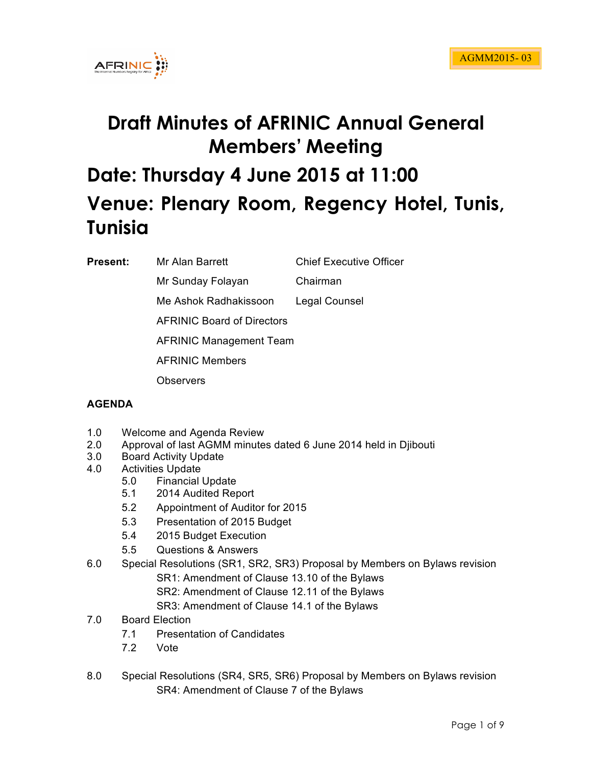

# **Draft Minutes of AFRINIC Annual General Members' Meeting Date: Thursday 4 June 2015 at 11:00 Venue: Plenary Room, Regency Hotel, Tunis, Tunisia**

**Present:** Mr Alan Barrett Chief Executive Officer

Mr Sunday Folayan Chairman

Me Ashok Radhakissoon Legal Counsel

AFRINIC Board of Directors

AFRINIC Management Team

AFRINIC Members

**Observers** 

# **AGENDA**

- 1.0 Welcome and Agenda Review
- 2.0 Approval of last AGMM minutes dated 6 June 2014 held in Djibouti
- 3.0 Board Activity Update
- 4.0 Activities Update
	- 5.0 Financial Update
	- 5.1 2014 Audited Report
	- 5.2 Appointment of Auditor for 2015
	- 5.3 Presentation of 2015 Budget
	- 5.4 2015 Budget Execution
	- 5.5 Questions & Answers

6.0 Special Resolutions (SR1, SR2, SR3) Proposal by Members on Bylaws revision SR1: Amendment of Clause 13.10 of the Bylaws SR2: Amendment of Clause 12.11 of the Bylaws

- SR3: Amendment of Clause 14.1 of the Bylaws
- 7.0 Board Election
	- 7.1 Presentation of Candidates
	- 7.2 Vote
- 8.0 Special Resolutions (SR4, SR5, SR6) Proposal by Members on Bylaws revision SR4: Amendment of Clause 7 of the Bylaws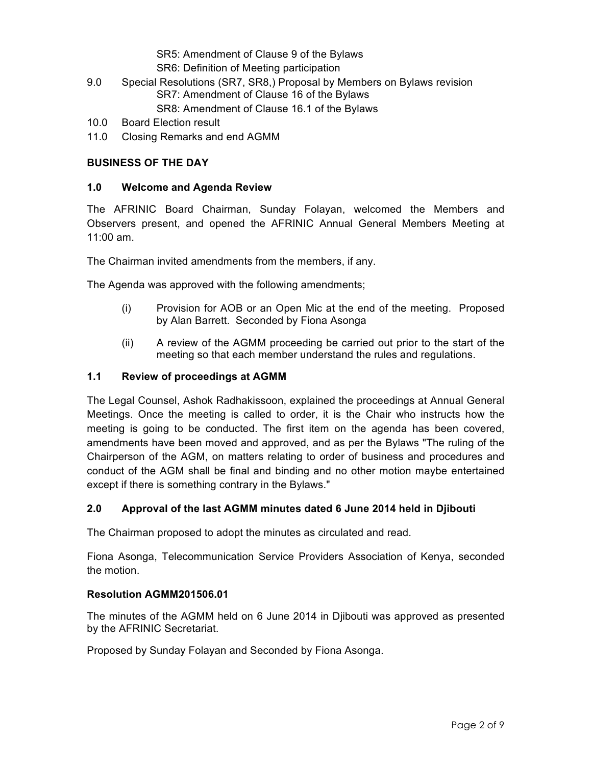#### SR5: Amendment of Clause 9 of the Bylaws SR6: Definition of Meeting participation

- 9.0 Special Resolutions (SR7, SR8,) Proposal by Members on Bylaws revision SR7: Amendment of Clause 16 of the Bylaws SR8: Amendment of Clause 16.1 of the Bylaws
- 10.0 Board Election result
- 11.0 Closing Remarks and end AGMM

# **BUSINESS OF THE DAY**

#### **1.0 Welcome and Agenda Review**

The AFRINIC Board Chairman, Sunday Folayan, welcomed the Members and Observers present, and opened the AFRINIC Annual General Members Meeting at 11:00 am.

The Chairman invited amendments from the members, if any.

The Agenda was approved with the following amendments;

- (i) Provision for AOB or an Open Mic at the end of the meeting. Proposed by Alan Barrett. Seconded by Fiona Asonga
- (ii) A review of the AGMM proceeding be carried out prior to the start of the meeting so that each member understand the rules and regulations.

#### **1.1 Review of proceedings at AGMM**

The Legal Counsel, Ashok Radhakissoon, explained the proceedings at Annual General Meetings. Once the meeting is called to order, it is the Chair who instructs how the meeting is going to be conducted. The first item on the agenda has been covered, amendments have been moved and approved, and as per the Bylaws "The ruling of the Chairperson of the AGM, on matters relating to order of business and procedures and conduct of the AGM shall be final and binding and no other motion maybe entertained except if there is something contrary in the Bylaws."

# **2.0 Approval of the last AGMM minutes dated 6 June 2014 held in Djibouti**

The Chairman proposed to adopt the minutes as circulated and read.

Fiona Asonga, Telecommunication Service Providers Association of Kenya, seconded the motion.

#### **Resolution AGMM201506.01**

The minutes of the AGMM held on 6 June 2014 in Djibouti was approved as presented by the AFRINIC Secretariat.

Proposed by Sunday Folayan and Seconded by Fiona Asonga.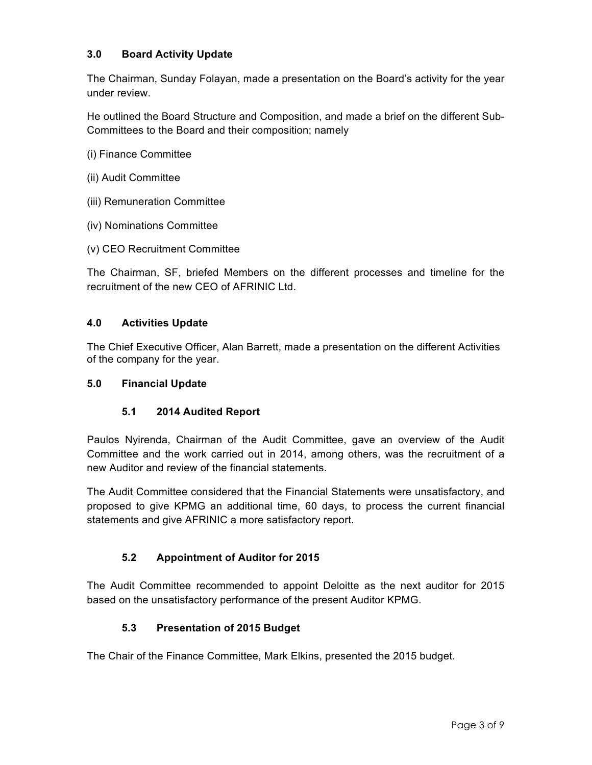# **3.0 Board Activity Update**

The Chairman, Sunday Folayan, made a presentation on the Board's activity for the year under review.

He outlined the Board Structure and Composition, and made a brief on the different Sub-Committees to the Board and their composition; namely

- (i) Finance Committee
- (ii) Audit Committee
- (iii) Remuneration Committee
- (iv) Nominations Committee
- (v) CEO Recruitment Committee

The Chairman, SF, briefed Members on the different processes and timeline for the recruitment of the new CEO of AFRINIC Ltd.

#### **4.0 Activities Update**

The Chief Executive Officer, Alan Barrett, made a presentation on the different Activities of the company for the year.

#### **5.0 Financial Update**

# **5.1 2014 Audited Report**

Paulos Nyirenda, Chairman of the Audit Committee, gave an overview of the Audit Committee and the work carried out in 2014, among others, was the recruitment of a new Auditor and review of the financial statements.

The Audit Committee considered that the Financial Statements were unsatisfactory, and proposed to give KPMG an additional time, 60 days, to process the current financial statements and give AFRINIC a more satisfactory report.

# **5.2 Appointment of Auditor for 2015**

The Audit Committee recommended to appoint Deloitte as the next auditor for 2015 based on the unsatisfactory performance of the present Auditor KPMG.

# **5.3 Presentation of 2015 Budget**

The Chair of the Finance Committee, Mark Elkins, presented the 2015 budget.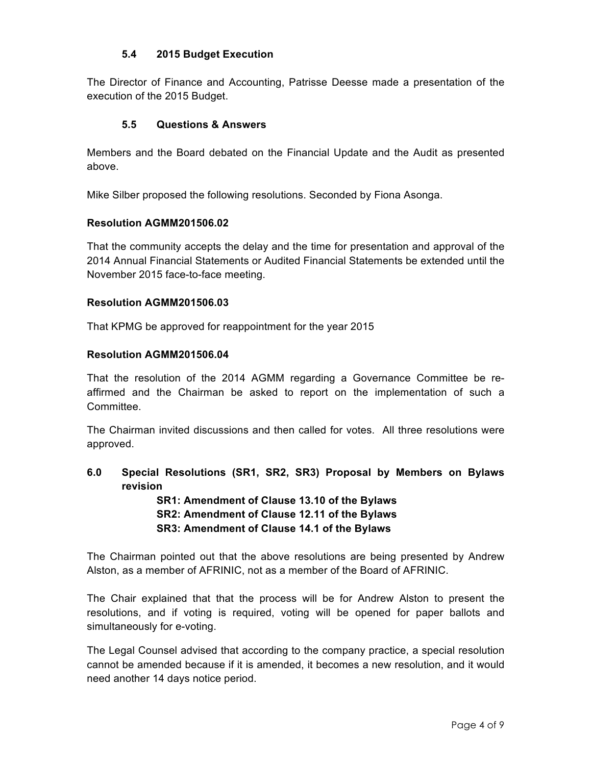# **5.4 2015 Budget Execution**

The Director of Finance and Accounting, Patrisse Deesse made a presentation of the execution of the 2015 Budget.

#### **5.5 Questions & Answers**

Members and the Board debated on the Financial Update and the Audit as presented above.

Mike Silber proposed the following resolutions. Seconded by Fiona Asonga.

#### **Resolution AGMM201506.02**

That the community accepts the delay and the time for presentation and approval of the 2014 Annual Financial Statements or Audited Financial Statements be extended until the November 2015 face-to-face meeting.

#### **Resolution AGMM201506.03**

That KPMG be approved for reappointment for the year 2015

#### **Resolution AGMM201506.04**

That the resolution of the 2014 AGMM regarding a Governance Committee be reaffirmed and the Chairman be asked to report on the implementation of such a Committee.

The Chairman invited discussions and then called for votes. All three resolutions were approved.

**6.0 Special Resolutions (SR1, SR2, SR3) Proposal by Members on Bylaws revision**

> **SR1: Amendment of Clause 13.10 of the Bylaws SR2: Amendment of Clause 12.11 of the Bylaws SR3: Amendment of Clause 14.1 of the Bylaws**

The Chairman pointed out that the above resolutions are being presented by Andrew Alston, as a member of AFRINIC, not as a member of the Board of AFRINIC.

The Chair explained that that the process will be for Andrew Alston to present the resolutions, and if voting is required, voting will be opened for paper ballots and simultaneously for e-voting.

The Legal Counsel advised that according to the company practice, a special resolution cannot be amended because if it is amended, it becomes a new resolution, and it would need another 14 days notice period.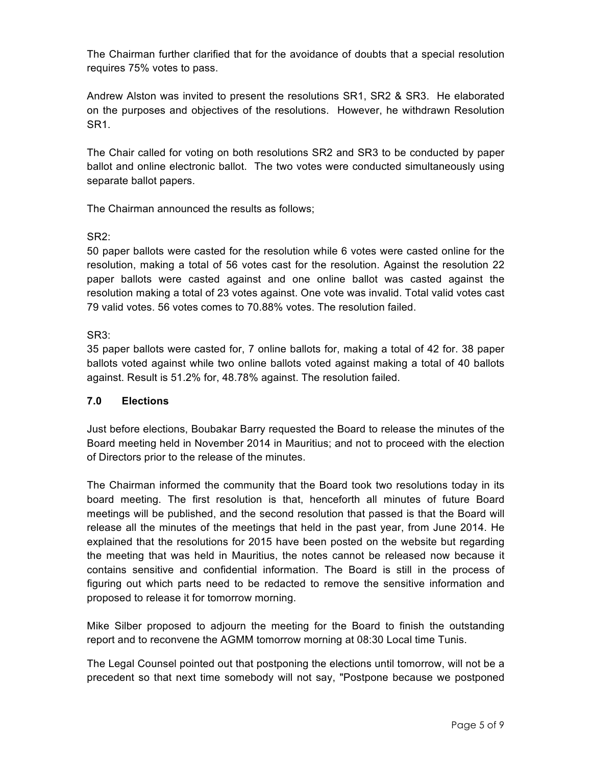The Chairman further clarified that for the avoidance of doubts that a special resolution requires 75% votes to pass.

Andrew Alston was invited to present the resolutions SR1, SR2 & SR3. He elaborated on the purposes and objectives of the resolutions. However, he withdrawn Resolution SR1.

The Chair called for voting on both resolutions SR2 and SR3 to be conducted by paper ballot and online electronic ballot. The two votes were conducted simultaneously using separate ballot papers.

The Chairman announced the results as follows;

# SR2:

50 paper ballots were casted for the resolution while 6 votes were casted online for the resolution, making a total of 56 votes cast for the resolution. Against the resolution 22 paper ballots were casted against and one online ballot was casted against the resolution making a total of 23 votes against. One vote was invalid. Total valid votes cast 79 valid votes. 56 votes comes to 70.88% votes. The resolution failed.

SR3:

35 paper ballots were casted for, 7 online ballots for, making a total of 42 for. 38 paper ballots voted against while two online ballots voted against making a total of 40 ballots against. Result is 51.2% for, 48.78% against. The resolution failed.

# **7.0 Elections**

Just before elections, Boubakar Barry requested the Board to release the minutes of the Board meeting held in November 2014 in Mauritius; and not to proceed with the election of Directors prior to the release of the minutes.

The Chairman informed the community that the Board took two resolutions today in its board meeting. The first resolution is that, henceforth all minutes of future Board meetings will be published, and the second resolution that passed is that the Board will release all the minutes of the meetings that held in the past year, from June 2014. He explained that the resolutions for 2015 have been posted on the website but regarding the meeting that was held in Mauritius, the notes cannot be released now because it contains sensitive and confidential information. The Board is still in the process of figuring out which parts need to be redacted to remove the sensitive information and proposed to release it for tomorrow morning.

Mike Silber proposed to adjourn the meeting for the Board to finish the outstanding report and to reconvene the AGMM tomorrow morning at 08:30 Local time Tunis.

The Legal Counsel pointed out that postponing the elections until tomorrow, will not be a precedent so that next time somebody will not say, "Postpone because we postponed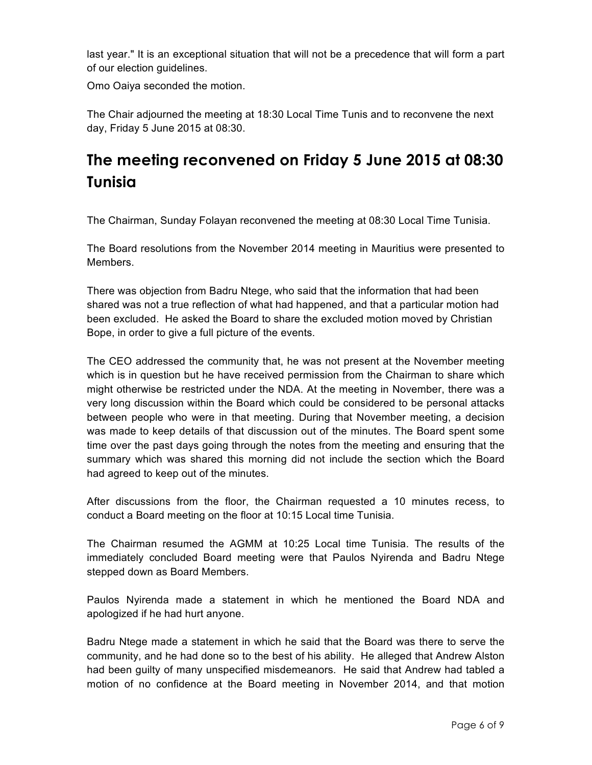last year." It is an exceptional situation that will not be a precedence that will form a part of our election guidelines.

Omo Oaiya seconded the motion.

The Chair adjourned the meeting at 18:30 Local Time Tunis and to reconvene the next day, Friday 5 June 2015 at 08:30.

# **The meeting reconvened on Friday 5 June 2015 at 08:30 Tunisia**

The Chairman, Sunday Folayan reconvened the meeting at 08:30 Local Time Tunisia.

The Board resolutions from the November 2014 meeting in Mauritius were presented to Members.

There was objection from Badru Ntege, who said that the information that had been shared was not a true reflection of what had happened, and that a particular motion had been excluded. He asked the Board to share the excluded motion moved by Christian Bope, in order to give a full picture of the events.

The CEO addressed the community that, he was not present at the November meeting which is in question but he have received permission from the Chairman to share which might otherwise be restricted under the NDA. At the meeting in November, there was a very long discussion within the Board which could be considered to be personal attacks between people who were in that meeting. During that November meeting, a decision was made to keep details of that discussion out of the minutes. The Board spent some time over the past days going through the notes from the meeting and ensuring that the summary which was shared this morning did not include the section which the Board had agreed to keep out of the minutes.

After discussions from the floor, the Chairman requested a 10 minutes recess, to conduct a Board meeting on the floor at 10:15 Local time Tunisia.

The Chairman resumed the AGMM at 10:25 Local time Tunisia. The results of the immediately concluded Board meeting were that Paulos Nyirenda and Badru Ntege stepped down as Board Members.

Paulos Nyirenda made a statement in which he mentioned the Board NDA and apologized if he had hurt anyone.

Badru Ntege made a statement in which he said that the Board was there to serve the community, and he had done so to the best of his ability. He alleged that Andrew Alston had been guilty of many unspecified misdemeanors. He said that Andrew had tabled a motion of no confidence at the Board meeting in November 2014, and that motion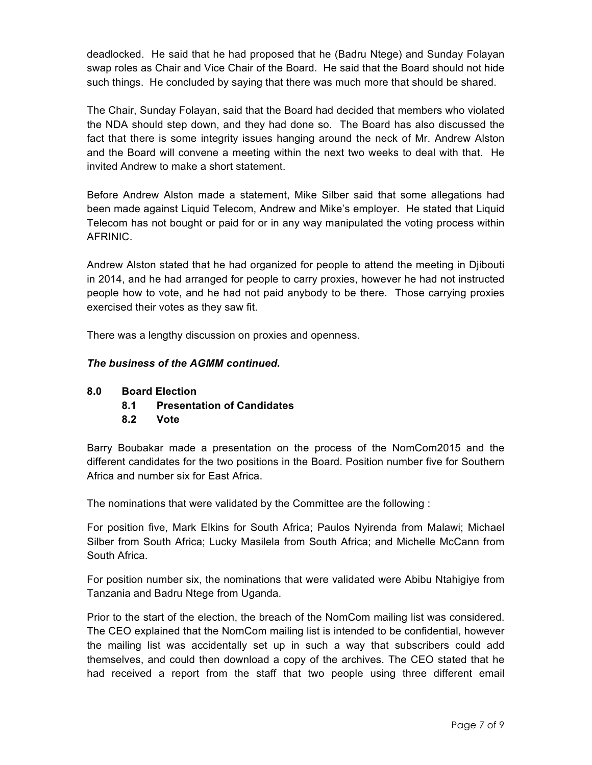deadlocked. He said that he had proposed that he (Badru Ntege) and Sunday Folayan swap roles as Chair and Vice Chair of the Board. He said that the Board should not hide such things. He concluded by saying that there was much more that should be shared.

The Chair, Sunday Folayan, said that the Board had decided that members who violated the NDA should step down, and they had done so. The Board has also discussed the fact that there is some integrity issues hanging around the neck of Mr. Andrew Alston and the Board will convene a meeting within the next two weeks to deal with that. He invited Andrew to make a short statement.

Before Andrew Alston made a statement, Mike Silber said that some allegations had been made against Liquid Telecom, Andrew and Mike's employer. He stated that Liquid Telecom has not bought or paid for or in any way manipulated the voting process within AFRINIC.

Andrew Alston stated that he had organized for people to attend the meeting in Djibouti in 2014, and he had arranged for people to carry proxies, however he had not instructed people how to vote, and he had not paid anybody to be there. Those carrying proxies exercised their votes as they saw fit.

There was a lengthy discussion on proxies and openness.

# *The business of the AGMM continued.*

# **8.0 Board Election**

- **8.1 Presentation of Candidates**
- **8.2 Vote**

Barry Boubakar made a presentation on the process of the NomCom2015 and the different candidates for the two positions in the Board. Position number five for Southern Africa and number six for East Africa.

The nominations that were validated by the Committee are the following :

For position five, Mark Elkins for South Africa; Paulos Nyirenda from Malawi; Michael Silber from South Africa; Lucky Masilela from South Africa; and Michelle McCann from South Africa.

For position number six, the nominations that were validated were Abibu Ntahigiye from Tanzania and Badru Ntege from Uganda.

Prior to the start of the election, the breach of the NomCom mailing list was considered. The CEO explained that the NomCom mailing list is intended to be confidential, however the mailing list was accidentally set up in such a way that subscribers could add themselves, and could then download a copy of the archives. The CEO stated that he had received a report from the staff that two people using three different email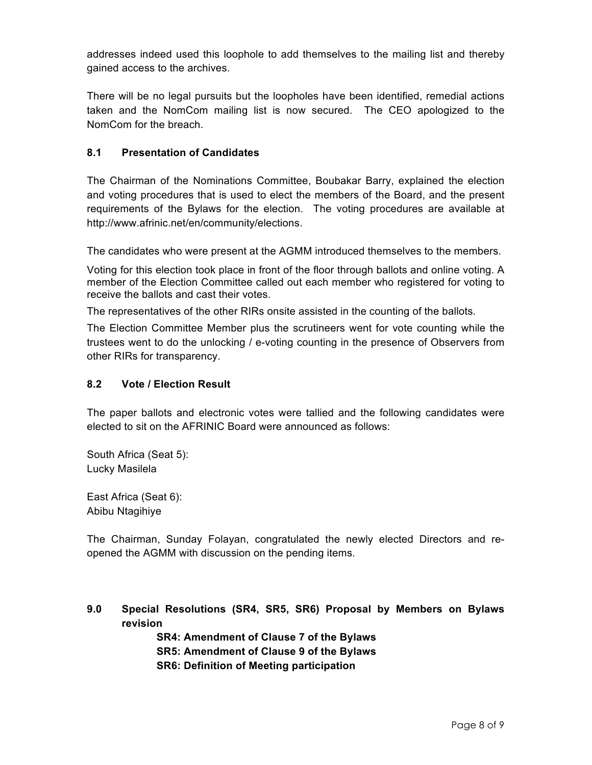addresses indeed used this loophole to add themselves to the mailing list and thereby gained access to the archives.

There will be no legal pursuits but the loopholes have been identified, remedial actions taken and the NomCom mailing list is now secured. The CEO apologized to the NomCom for the breach.

# **8.1 Presentation of Candidates**

The Chairman of the Nominations Committee, Boubakar Barry, explained the election and voting procedures that is used to elect the members of the Board, and the present requirements of the Bylaws for the election. The voting procedures are available at http://www.afrinic.net/en/community/elections.

The candidates who were present at the AGMM introduced themselves to the members.

Voting for this election took place in front of the floor through ballots and online voting. A member of the Election Committee called out each member who registered for voting to receive the ballots and cast their votes.

The representatives of the other RIRs onsite assisted in the counting of the ballots.

The Election Committee Member plus the scrutineers went for vote counting while the trustees went to do the unlocking / e-voting counting in the presence of Observers from other RIRs for transparency.

# **8.2 Vote / Election Result**

The paper ballots and electronic votes were tallied and the following candidates were elected to sit on the AFRINIC Board were announced as follows:

South Africa (Seat 5): Lucky Masilela

East Africa (Seat 6): Abibu Ntagihiye

The Chairman, Sunday Folayan, congratulated the newly elected Directors and reopened the AGMM with discussion on the pending items.

**9.0 Special Resolutions (SR4, SR5, SR6) Proposal by Members on Bylaws revision**

> **SR4: Amendment of Clause 7 of the Bylaws SR5: Amendment of Clause 9 of the Bylaws SR6: Definition of Meeting participation**